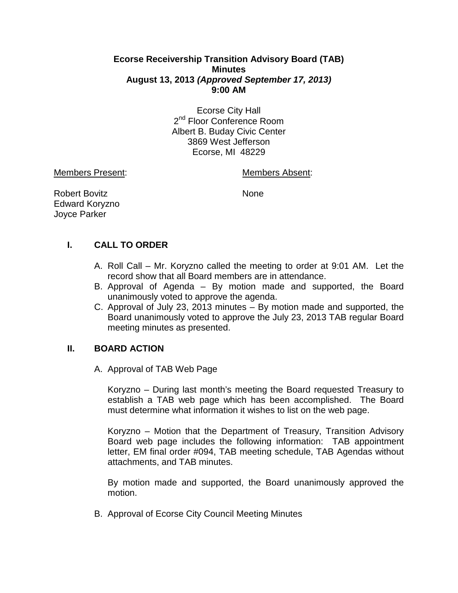## **Ecorse Receivership Transition Advisory Board (TAB) Minutes August 13, 2013** *(Approved September 17, 2013)* **9:00 AM**

Ecorse City Hall 2<sup>nd</sup> Floor Conference Room Albert B. Buday Civic Center 3869 West Jefferson Ecorse, MI 48229

Members Present: Members Absent:

Robert Bovitz None Edward Koryzno Joyce Parker

# **I. CALL TO ORDER**

- A. Roll Call Mr. Koryzno called the meeting to order at 9:01 AM. Let the record show that all Board members are in attendance.
- B. Approval of Agenda By motion made and supported, the Board unanimously voted to approve the agenda.
- C. Approval of July 23, 2013 minutes By motion made and supported, the Board unanimously voted to approve the July 23, 2013 TAB regular Board meeting minutes as presented.

## **II. BOARD ACTION**

## A. Approval of TAB Web Page

Koryzno – During last month's meeting the Board requested Treasury to establish a TAB web page which has been accomplished. The Board must determine what information it wishes to list on the web page.

Koryzno – Motion that the Department of Treasury, Transition Advisory Board web page includes the following information: TAB appointment letter, EM final order #094, TAB meeting schedule, TAB Agendas without attachments, and TAB minutes.

By motion made and supported, the Board unanimously approved the motion.

B. Approval of Ecorse City Council Meeting Minutes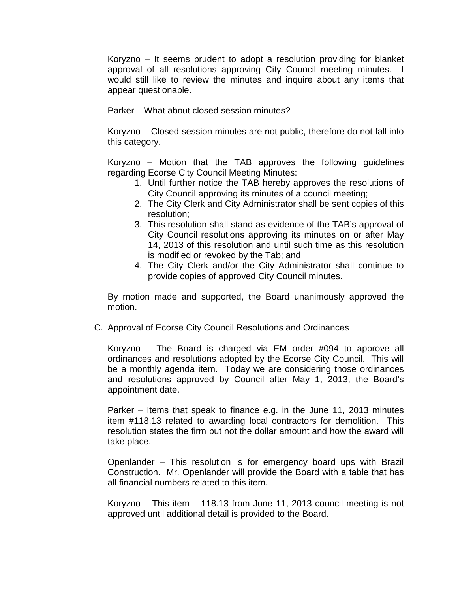Koryzno – It seems prudent to adopt a resolution providing for blanket approval of all resolutions approving City Council meeting minutes. I would still like to review the minutes and inquire about any items that appear questionable.

Parker – What about closed session minutes?

Koryzno – Closed session minutes are not public, therefore do not fall into this category.

Koryzno – Motion that the TAB approves the following guidelines regarding Ecorse City Council Meeting Minutes:

- 1. Until further notice the TAB hereby approves the resolutions of City Council approving its minutes of a council meeting;
- 2. The City Clerk and City Administrator shall be sent copies of this resolution;
- 3. This resolution shall stand as evidence of the TAB's approval of City Council resolutions approving its minutes on or after May 14, 2013 of this resolution and until such time as this resolution is modified or revoked by the Tab; and
- 4. The City Clerk and/or the City Administrator shall continue to provide copies of approved City Council minutes.

By motion made and supported, the Board unanimously approved the motion.

C. Approval of Ecorse City Council Resolutions and Ordinances

Koryzno – The Board is charged via EM order #094 to approve all ordinances and resolutions adopted by the Ecorse City Council. This will be a monthly agenda item. Today we are considering those ordinances and resolutions approved by Council after May 1, 2013, the Board's appointment date.

Parker – Items that speak to finance e.g. in the June 11, 2013 minutes item #118.13 related to awarding local contractors for demolition. This resolution states the firm but not the dollar amount and how the award will take place.

Openlander – This resolution is for emergency board ups with Brazil Construction. Mr. Openlander will provide the Board with a table that has all financial numbers related to this item.

Koryzno – This item – 118.13 from June 11, 2013 council meeting is not approved until additional detail is provided to the Board.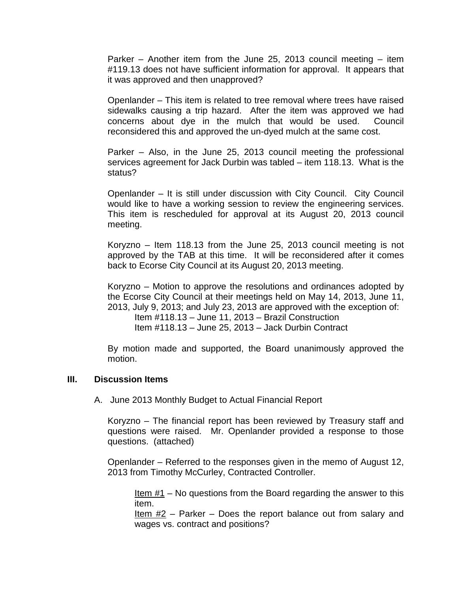Parker – Another item from the June 25, 2013 council meeting – item #119.13 does not have sufficient information for approval. It appears that it was approved and then unapproved?

Openlander – This item is related to tree removal where trees have raised sidewalks causing a trip hazard. After the item was approved we had concerns about dye in the mulch that would be used. Council reconsidered this and approved the un-dyed mulch at the same cost.

Parker – Also, in the June 25, 2013 council meeting the professional services agreement for Jack Durbin was tabled – item 118.13. What is the status?

Openlander – It is still under discussion with City Council. City Council would like to have a working session to review the engineering services. This item is rescheduled for approval at its August 20, 2013 council meeting.

Koryzno – Item 118.13 from the June 25, 2013 council meeting is not approved by the TAB at this time. It will be reconsidered after it comes back to Ecorse City Council at its August 20, 2013 meeting.

Koryzno – Motion to approve the resolutions and ordinances adopted by the Ecorse City Council at their meetings held on May 14, 2013, June 11, 2013, July 9, 2013; and July 23, 2013 are approved with the exception of:

Item #118.13 – June 11, 2013 – Brazil Construction Item #118.13 – June 25, 2013 – Jack Durbin Contract

By motion made and supported, the Board unanimously approved the motion.

#### **III. Discussion Items**

A. June 2013 Monthly Budget to Actual Financial Report

Koryzno – The financial report has been reviewed by Treasury staff and questions were raised. Mr. Openlander provided a response to those questions. (attached)

Openlander – Referred to the responses given in the memo of August 12, 2013 from Timothy McCurley, Contracted Controller.

Item  $#1$  – No questions from the Board regarding the answer to this item.

Item #2 – Parker – Does the report balance out from salary and wages vs. contract and positions?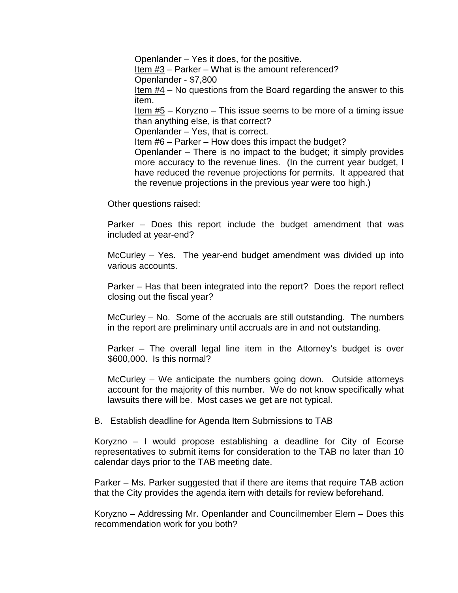Openlander – Yes it does, for the positive. Item  $#3$  – Parker – What is the amount referenced? Openlander - \$7,800 Item  $#4 -$  No questions from the Board regarding the answer to this item. Item  $#5$  – Koryzno – This issue seems to be more of a timing issue than anything else, is that correct? Openlander – Yes, that is correct. Item #6 – Parker – How does this impact the budget? Openlander – There is no impact to the budget; it simply provides more accuracy to the revenue lines. (In the current year budget, I have reduced the revenue projections for permits. It appeared that the revenue projections in the previous year were too high.)

Other questions raised:

Parker – Does this report include the budget amendment that was included at year-end?

McCurley – Yes. The year-end budget amendment was divided up into various accounts.

Parker – Has that been integrated into the report? Does the report reflect closing out the fiscal year?

McCurley – No. Some of the accruals are still outstanding. The numbers in the report are preliminary until accruals are in and not outstanding.

Parker – The overall legal line item in the Attorney's budget is over \$600,000. Is this normal?

McCurley – We anticipate the numbers going down. Outside attorneys account for the majority of this number. We do not know specifically what lawsuits there will be. Most cases we get are not typical.

B. Establish deadline for Agenda Item Submissions to TAB

Koryzno – I would propose establishing a deadline for City of Ecorse representatives to submit items for consideration to the TAB no later than 10 calendar days prior to the TAB meeting date.

Parker – Ms. Parker suggested that if there are items that require TAB action that the City provides the agenda item with details for review beforehand.

Koryzno – Addressing Mr. Openlander and Councilmember Elem – Does this recommendation work for you both?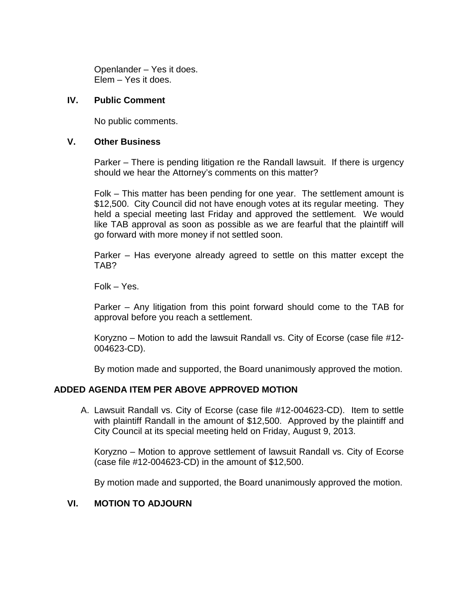Openlander – Yes it does. Elem – Yes it does.

## **IV. Public Comment**

No public comments.

### **V. Other Business**

Parker – There is pending litigation re the Randall lawsuit. If there is urgency should we hear the Attorney's comments on this matter?

Folk – This matter has been pending for one year. The settlement amount is \$12,500. City Council did not have enough votes at its regular meeting. They held a special meeting last Friday and approved the settlement. We would like TAB approval as soon as possible as we are fearful that the plaintiff will go forward with more money if not settled soon.

Parker – Has everyone already agreed to settle on this matter except the TAB?

Folk – Yes.

Parker – Any litigation from this point forward should come to the TAB for approval before you reach a settlement.

Koryzno – Motion to add the lawsuit Randall vs. City of Ecorse (case file #12- 004623-CD).

By motion made and supported, the Board unanimously approved the motion.

## **ADDED AGENDA ITEM PER ABOVE APPROVED MOTION**

A. Lawsuit Randall vs. City of Ecorse (case file #12-004623-CD). Item to settle with plaintiff Randall in the amount of \$12,500. Approved by the plaintiff and City Council at its special meeting held on Friday, August 9, 2013.

Koryzno – Motion to approve settlement of lawsuit Randall vs. City of Ecorse (case file #12-004623-CD) in the amount of \$12,500.

By motion made and supported, the Board unanimously approved the motion.

## **VI. MOTION TO ADJOURN**